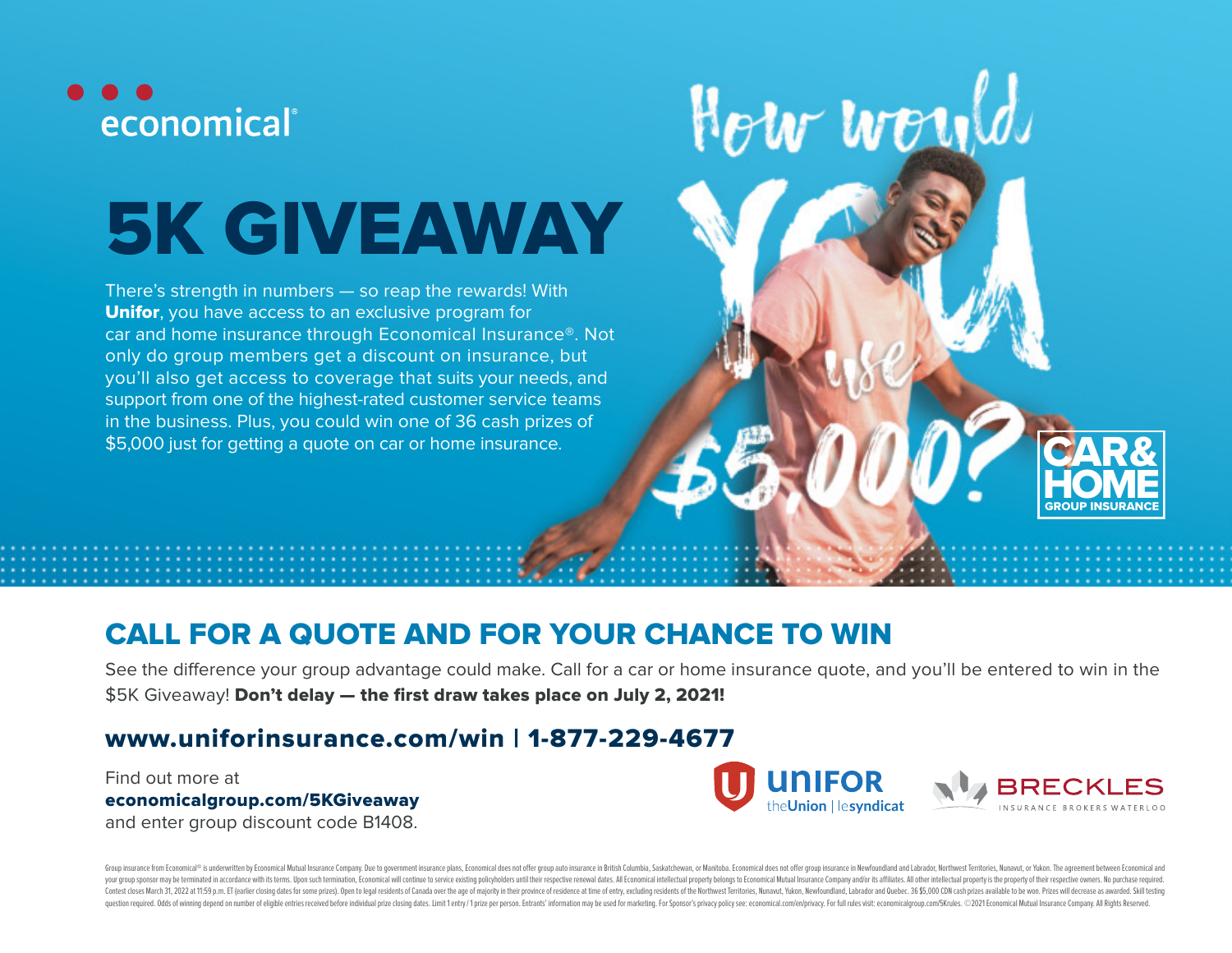

# 5K GIVEAWAY

There's strength in numbers — so reap the rewards! With Unifor, you have access to an exclusive program for car and home insurance through Economical Insurance®. Not only do group members get a discount on insurance, but you'll also get access to coverage that suits your needs, and support from one of the highest-rated customer service teams in the business. Plus, you could win one of 36 cash prizes of \$5,000 just for getting a quote on car or home insurance.

# CALL FOR A QUOTE AND FOR YOUR CHANCE TO WIN

See the difference your group advantage could make. Call for a car or home insurance quote, and you'll be entered to win in the \$5K Giveaway! Don't delay — the first draw takes place on July 2, 2021!

## www.uniforinsurance.com/win | 1-877-229-4677

Find out more at economicalgroup.com/5KGiveaway and enter group discount code B1408.



How would

CAR&

**HOME** GROUP INSURANCE

Group insurance from Economical<sup>no</sup> is underwritten by Economical Mutual Insurance Company. Due to government insurance plans, Economical does not offer group auto insurance in British Columbia, Saskatchewan, or Manitoba. your group sponsor may be terminated in accordance with its terms. Upon such termination, Economical will continue to service existing policyholders until their respective reneval dates. All Economical intellectual propert Contest closes March 31, 2022 at 11:59 p.m. ET (earlier closing dates for some prizes). Open to legal residents of Canada over the age of majority in their province of residence at time of entry, excluding residents of the question required. Odds of winning depend on number of eligible entries received before individual prize closing dates. Limit 1 entry/1 prize per person. Entrants' information may be used for marketing. For Sponsor's priva